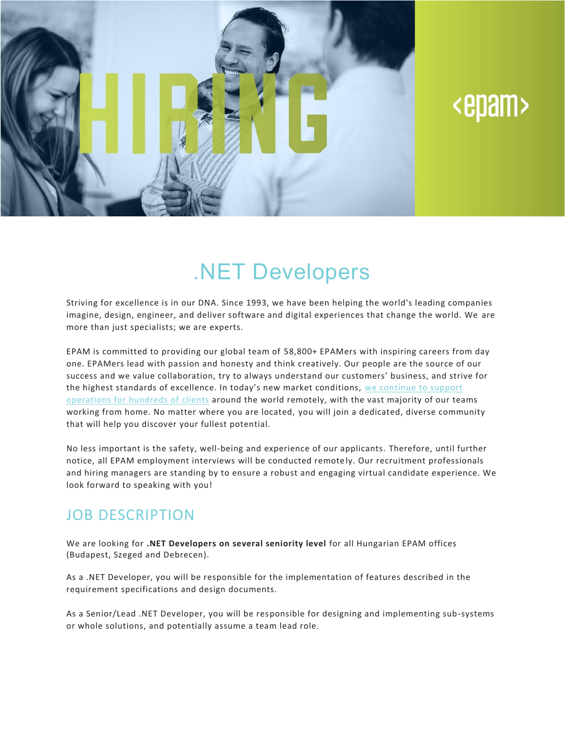

# <epam>

## .NET Developers

Striving for excellence is in our DNA. Since 1993, we have been helping the world's leading companies imagine, design, engineer, and deliver software and digital experiences that change the world. We are more than just specialists; we are experts.

EPAM is committed to providing our global team of 58,800+ EPAMers with inspiring careers from day one. EPAMers lead with passion and honesty and think creatively. Our people are the source of our success and we value collaboration, try to always understand our customers' business, and strive for the highest standards of excellence. In today's new market conditions, we [continue](https://www.epam.com/ceo-update-covid-19) to support [operations](https://www.epam.com/ceo-update-covid-19) for hundreds of clients around the world remotely, with the vast majority of our teams working from home. No matter where you are located, you will join a dedicated, diverse community that will help you discover your fullest potential.

No less important is the safety, well-being and experience of our applicants. Therefore, until further notice, all EPAM employment interviews will be conducted remote ly. Our recruitment professionals and hiring managers are standing by to ensure a robust and engaging virtual candidate experience. We look forward to speaking with you!

#### JOB DESCRIPTION

We are looking for **.NET Developers on several seniority level** for all Hungarian EPAM offices (Budapest, Szeged and Debrecen).

As a .NET Developer, you will be responsible for the implementation of features described in the requirement specifications and design documents.

As a Senior/Lead .NET Developer, you will be responsible for designing and implementing sub-systems or whole solutions, and potentially assume a team lead role.